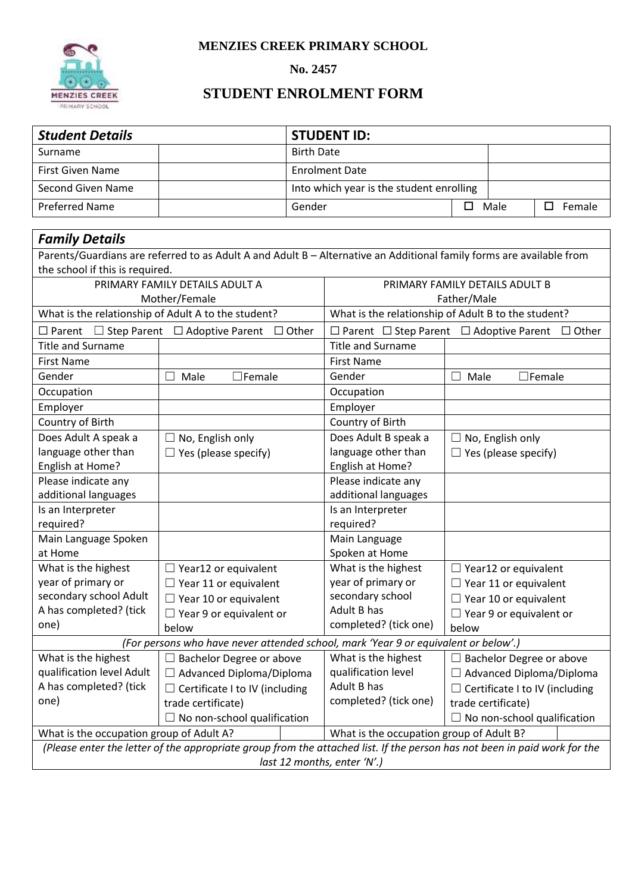**MENZIES CREEK PRIMARY SCHOOL**



## **No. 2457**

## **STUDENT ENROLMENT FORM**

| <b>Student Details</b>                                                                                               |                                                                                                                           |                                              | <b>STUDENT ID:</b>                                                   |                                       |                             |                             |  |  |  |  |  |  |
|----------------------------------------------------------------------------------------------------------------------|---------------------------------------------------------------------------------------------------------------------------|----------------------------------------------|----------------------------------------------------------------------|---------------------------------------|-----------------------------|-----------------------------|--|--|--|--|--|--|
| Surname                                                                                                              | <b>Birth Date</b>                                                                                                         |                                              |                                                                      |                                       |                             |                             |  |  |  |  |  |  |
| <b>First Given Name</b>                                                                                              |                                                                                                                           | <b>Enrolment Date</b>                        |                                                                      |                                       |                             |                             |  |  |  |  |  |  |
| <b>Second Given Name</b>                                                                                             |                                                                                                                           | Into which year is the student enrolling     |                                                                      |                                       |                             |                             |  |  |  |  |  |  |
| <b>Preferred Name</b>                                                                                                | Gender                                                                                                                    | $\square$ Male                               |                                                                      | $\square$ Female                      |                             |                             |  |  |  |  |  |  |
|                                                                                                                      |                                                                                                                           |                                              |                                                                      |                                       |                             |                             |  |  |  |  |  |  |
| <b>Family Details</b>                                                                                                |                                                                                                                           |                                              |                                                                      |                                       |                             |                             |  |  |  |  |  |  |
| Parents/Guardians are referred to as Adult A and Adult B - Alternative an Additional family forms are available from |                                                                                                                           |                                              |                                                                      |                                       |                             |                             |  |  |  |  |  |  |
| the school if this is required.                                                                                      |                                                                                                                           |                                              |                                                                      |                                       |                             |                             |  |  |  |  |  |  |
| PRIMARY FAMILY DETAILS ADULT A                                                                                       |                                                                                                                           |                                              | PRIMARY FAMILY DETAILS ADULT B                                       |                                       |                             |                             |  |  |  |  |  |  |
|                                                                                                                      | Mother/Female                                                                                                             |                                              | Father/Male                                                          |                                       |                             |                             |  |  |  |  |  |  |
| What is the relationship of Adult A to the student?                                                                  |                                                                                                                           |                                              | What is the relationship of Adult B to the student?                  |                                       |                             |                             |  |  |  |  |  |  |
| $\square$ Parent                                                                                                     | $\Box$ Step Parent $\Box$ Adoptive Parent $\Box$ Other                                                                    |                                              | $\Box$ Parent $\Box$ Step Parent $\Box$ Adoptive Parent $\Box$ Other |                                       |                             |                             |  |  |  |  |  |  |
| <b>Title and Surname</b>                                                                                             |                                                                                                                           |                                              | <b>Title and Surname</b>                                             |                                       |                             |                             |  |  |  |  |  |  |
| <b>First Name</b>                                                                                                    |                                                                                                                           |                                              | <b>First Name</b>                                                    |                                       |                             |                             |  |  |  |  |  |  |
| Gender                                                                                                               | $\square$ Female<br>Male<br>$\overline{\phantom{0}}$                                                                      | Gender<br>$\square$ Female<br>$\Box$<br>Male |                                                                      |                                       |                             |                             |  |  |  |  |  |  |
| Occupation                                                                                                           |                                                                                                                           |                                              | Occupation                                                           |                                       |                             |                             |  |  |  |  |  |  |
| Employer                                                                                                             |                                                                                                                           |                                              | Employer                                                             |                                       |                             |                             |  |  |  |  |  |  |
| Country of Birth                                                                                                     |                                                                                                                           |                                              | Country of Birth                                                     |                                       |                             |                             |  |  |  |  |  |  |
| Does Adult A speak a                                                                                                 | No, English only                                                                                                          |                                              | Does Adult B speak a                                                 | $\Box$ No, English only               |                             |                             |  |  |  |  |  |  |
| language other than                                                                                                  | Yes (please specify)                                                                                                      |                                              | language other than                                                  |                                       | $\Box$ Yes (please specify) |                             |  |  |  |  |  |  |
| English at Home?                                                                                                     |                                                                                                                           |                                              | English at Home?                                                     |                                       |                             |                             |  |  |  |  |  |  |
| Please indicate any                                                                                                  |                                                                                                                           |                                              | Please indicate any                                                  |                                       |                             |                             |  |  |  |  |  |  |
| additional languages                                                                                                 |                                                                                                                           |                                              | additional languages                                                 |                                       |                             |                             |  |  |  |  |  |  |
| Is an Interpreter                                                                                                    |                                                                                                                           |                                              | Is an Interpreter                                                    |                                       |                             |                             |  |  |  |  |  |  |
| required?                                                                                                            | required?                                                                                                                 |                                              |                                                                      |                                       |                             |                             |  |  |  |  |  |  |
| Main Language Spoken<br>Main Language                                                                                |                                                                                                                           |                                              |                                                                      |                                       |                             |                             |  |  |  |  |  |  |
| Spoken at Home<br>at Home                                                                                            |                                                                                                                           |                                              |                                                                      |                                       |                             |                             |  |  |  |  |  |  |
| What is the highest                                                                                                  | $\Box$ Year12 or equivalent                                                                                               |                                              | What is the highest                                                  |                                       | $\Box$ Year12 or equivalent |                             |  |  |  |  |  |  |
| year of primary or                                                                                                   | $\Box$ Year 11 or equivalent                                                                                              |                                              | year of primary or                                                   | $\Box$ Year 11 or equivalent          |                             |                             |  |  |  |  |  |  |
| secondary school Adult                                                                                               | secondary school<br>$\Box$ Year 10 or equivalent<br>$\Box$ Year 10 or equivalent                                          |                                              |                                                                      |                                       |                             |                             |  |  |  |  |  |  |
| A has completed? (tick                                                                                               | $\Box$ Year 9 or equivalent or                                                                                            |                                              | Adult B has                                                          | $\Box$ Year 9 or equivalent or        |                             |                             |  |  |  |  |  |  |
| completed? (tick one)<br>one)<br>below<br>below                                                                      |                                                                                                                           |                                              |                                                                      |                                       |                             |                             |  |  |  |  |  |  |
| (For persons who have never attended school, mark 'Year 9 or equivalent or below'.)                                  |                                                                                                                           |                                              |                                                                      |                                       |                             |                             |  |  |  |  |  |  |
| What is the highest                                                                                                  | $\Box$ Bachelor Degree or above                                                                                           |                                              | What is the highest                                                  | $\Box$ Bachelor Degree or above       |                             |                             |  |  |  |  |  |  |
| qualification level Adult                                                                                            | $\Box$ Advanced Diploma/Diploma                                                                                           |                                              | qualification level                                                  | $\Box$ Advanced Diploma/Diploma       |                             |                             |  |  |  |  |  |  |
| A has completed? (tick                                                                                               | $\Box$ Certificate I to IV (including                                                                                     |                                              | Adult B has<br>completed? (tick one)                                 | $\Box$ Certificate I to IV (including |                             |                             |  |  |  |  |  |  |
| one)                                                                                                                 | trade certificate)                                                                                                        |                                              |                                                                      |                                       | trade certificate)          |                             |  |  |  |  |  |  |
|                                                                                                                      | No non-school qualification<br>$\Box$ No non-school qualification                                                         |                                              |                                                                      |                                       |                             |                             |  |  |  |  |  |  |
| What is the occupation group of Adult A?<br>What is the occupation group of Adult B?                                 |                                                                                                                           |                                              |                                                                      |                                       |                             |                             |  |  |  |  |  |  |
|                                                                                                                      | (Please enter the letter of the appropriate group from the attached list. If the person has not been in paid work for the |                                              |                                                                      |                                       |                             |                             |  |  |  |  |  |  |
|                                                                                                                      |                                                                                                                           |                                              |                                                                      |                                       |                             | last 12 months, enter 'N'.) |  |  |  |  |  |  |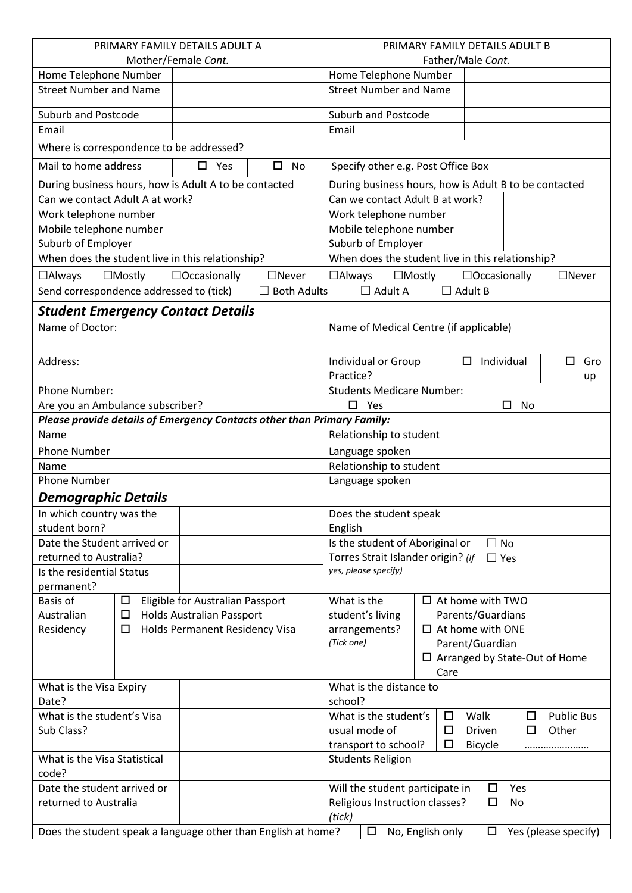| PRIMARY FAMILY DETAILS ADULT A                                          |                       |                                                                           | PRIMARY FAMILY DETAILS ADULT B |                               |                                                       |                                             |                  |                |                         |                      |
|-------------------------------------------------------------------------|-----------------------|---------------------------------------------------------------------------|--------------------------------|-------------------------------|-------------------------------------------------------|---------------------------------------------|------------------|----------------|-------------------------|----------------------|
| Mother/Female Cont.                                                     |                       | Father/Male Cont.                                                         |                                |                               |                                                       |                                             |                  |                |                         |                      |
|                                                                         | Home Telephone Number |                                                                           |                                |                               | Home Telephone Number                                 |                                             |                  |                |                         |                      |
| <b>Street Number and Name</b>                                           |                       |                                                                           |                                | <b>Street Number and Name</b> |                                                       |                                             |                  |                |                         |                      |
| <b>Suburb and Postcode</b>                                              |                       |                                                                           |                                |                               |                                                       | <b>Suburb and Postcode</b>                  |                  |                |                         |                      |
| Email                                                                   |                       |                                                                           |                                |                               | Email                                                 |                                             |                  |                |                         |                      |
| Where is correspondence to be addressed?                                |                       |                                                                           |                                |                               |                                                       |                                             |                  |                |                         |                      |
| Mail to home address                                                    |                       | $\Box$ Yes                                                                |                                | $\square$ No                  | Specify other e.g. Post Office Box                    |                                             |                  |                |                         |                      |
| During business hours, how is Adult A to be contacted                   |                       |                                                                           |                                |                               | During business hours, how is Adult B to be contacted |                                             |                  |                |                         |                      |
| Can we contact Adult A at work?                                         |                       |                                                                           |                                |                               | Can we contact Adult B at work?                       |                                             |                  |                |                         |                      |
| Work telephone number                                                   |                       |                                                                           |                                |                               | Work telephone number                                 |                                             |                  |                |                         |                      |
| Mobile telephone number                                                 |                       |                                                                           |                                |                               | Mobile telephone number                               |                                             |                  |                |                         |                      |
| Suburb of Employer                                                      |                       |                                                                           |                                |                               | Suburb of Employer                                    |                                             |                  |                |                         |                      |
| When does the student live in this relationship?                        |                       |                                                                           |                                |                               | When does the student live in this relationship?      |                                             |                  |                |                         |                      |
| $\Box$ Always                                                           | $\Box$ Mostly         | $\Box$ Occasionally                                                       |                                | $\Box$ Never                  | $\Box$ Always                                         |                                             | $\Box$ Mostly    |                | $\Box$ Occasionally     | $\Box$ Never         |
| Send correspondence addressed to (tick)                                 |                       |                                                                           |                                | $\Box$ Both Adults            |                                                       | $\Box$ Adult A                              |                  | $\Box$ Adult B |                         |                      |
|                                                                         |                       |                                                                           |                                |                               |                                                       |                                             |                  |                |                         |                      |
| <b>Student Emergency Contact Details</b>                                |                       |                                                                           |                                |                               |                                                       |                                             |                  |                |                         |                      |
| Name of Doctor:                                                         |                       |                                                                           |                                |                               |                                                       | Name of Medical Centre (if applicable)      |                  |                |                         |                      |
| Address:                                                                |                       |                                                                           | Practice?                      | Individual or Group           |                                                       | $\Box$<br>Individual<br>$\Box$<br>Gro<br>up |                  |                |                         |                      |
| Phone Number:                                                           |                       |                                                                           |                                |                               |                                                       | <b>Students Medicare Number:</b>            |                  |                |                         |                      |
| Are you an Ambulance subscriber?                                        |                       |                                                                           |                                |                               | $\Box$<br>Yes<br>$\Box$<br>No                         |                                             |                  |                |                         |                      |
| Please provide details of Emergency Contacts other than Primary Family: |                       |                                                                           |                                |                               |                                                       |                                             |                  |                |                         |                      |
| Name                                                                    |                       |                                                                           |                                |                               |                                                       | Relationship to student                     |                  |                |                         |                      |
| <b>Phone Number</b>                                                     |                       |                                                                           |                                |                               | Language spoken                                       |                                             |                  |                |                         |                      |
| Name                                                                    |                       | Relationship to student                                                   |                                |                               |                                                       |                                             |                  |                |                         |                      |
| <b>Phone Number</b>                                                     |                       |                                                                           | Language spoken                |                               |                                                       |                                             |                  |                |                         |                      |
| <b>Demographic Details</b>                                              |                       |                                                                           |                                |                               |                                                       |                                             |                  |                |                         |                      |
| In which country was the                                                |                       | Does the student speak                                                    |                                |                               |                                                       |                                             |                  |                |                         |                      |
| student born?                                                           |                       | English                                                                   |                                |                               |                                                       |                                             |                  |                |                         |                      |
| Date the Student arrived or                                             |                       |                                                                           |                                |                               | Is the student of Aboriginal or<br>$\Box$ No          |                                             |                  |                |                         |                      |
| returned to Australia?                                                  |                       |                                                                           |                                |                               | Torres Strait Islander origin? (If<br>$\Box$ Yes      |                                             |                  |                |                         |                      |
| Is the residential Status                                               |                       |                                                                           |                                |                               | yes, please specify)                                  |                                             |                  |                |                         |                      |
| permanent?                                                              |                       |                                                                           |                                |                               |                                                       |                                             |                  |                | $\Box$ At home with TWO |                      |
| Basis of<br>Eligible for Australian Passport<br>$\Box$<br>Australian    |                       | What is the                                                               |                                |                               |                                                       |                                             |                  |                |                         |                      |
| <b>Holds Australian Passport</b><br>□                                   |                       | Parents/Guardians<br>student's living                                     |                                |                               |                                                       |                                             |                  |                |                         |                      |
| Residency<br>Holds Permanent Residency Visa<br>□                        |                       | arrangements?<br>$\Box$ At home with ONE<br>(Tick one)<br>Parent/Guardian |                                |                               |                                                       |                                             |                  |                |                         |                      |
|                                                                         |                       | $\Box$ Arranged by State-Out of Home                                      |                                |                               |                                                       |                                             |                  |                |                         |                      |
|                                                                         |                       |                                                                           |                                |                               |                                                       |                                             | Care             |                |                         |                      |
| What is the Visa Expiry                                                 |                       |                                                                           |                                |                               |                                                       | What is the distance to                     |                  |                |                         |                      |
| Date?                                                                   |                       | school?                                                                   |                                |                               |                                                       |                                             |                  |                |                         |                      |
| What is the student's Visa                                              |                       | What is the student's<br>Walk<br>$\Box$<br><b>Public Bus</b><br>$\Box$    |                                |                               |                                                       |                                             |                  |                |                         |                      |
| Sub Class?                                                              |                       | usual mode of<br>$\Box$<br>Driven<br>$\Box$<br>Other                      |                                |                               |                                                       |                                             |                  |                |                         |                      |
|                                                                         |                       | transport to school?<br>$\Box$<br><b>Bicycle</b><br>                      |                                |                               |                                                       |                                             |                  |                |                         |                      |
| What is the Visa Statistical<br>code?                                   |                       |                                                                           |                                |                               |                                                       | <b>Students Religion</b>                    |                  |                |                         |                      |
| Date the student arrived or                                             |                       |                                                                           |                                |                               | Will the student participate in<br>$\Box$<br>Yes      |                                             |                  |                |                         |                      |
| returned to Australia                                                   |                       |                                                                           |                                |                               | Religious Instruction classes?<br>□<br><b>No</b>      |                                             |                  |                |                         |                      |
| (tick)                                                                  |                       |                                                                           |                                |                               |                                                       |                                             |                  |                |                         |                      |
| Does the student speak a language other than English at home?           |                       |                                                                           |                                |                               |                                                       | $\Box$                                      | No, English only |                | $\Box$                  | Yes (please specify) |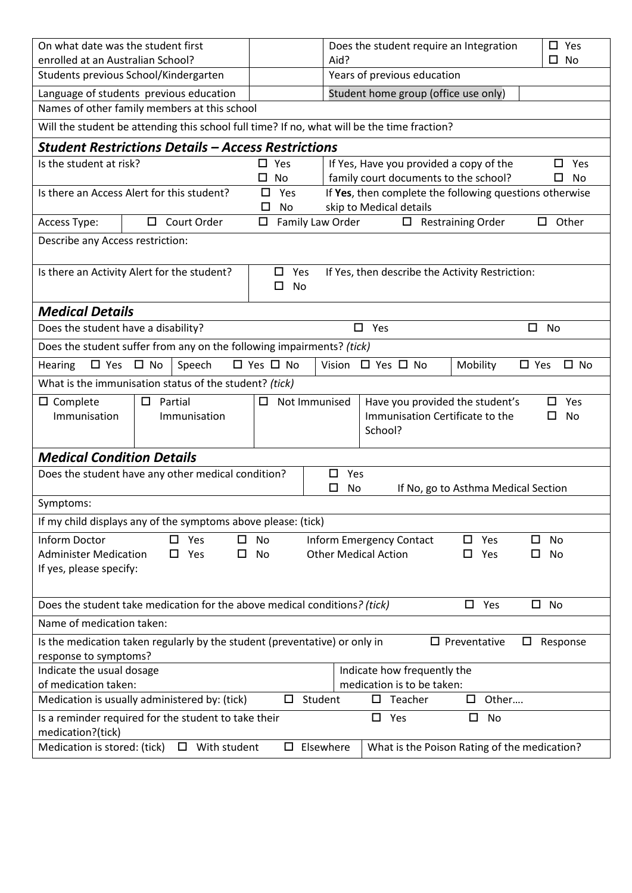| On what date was the student first                                                                                                                          |                     | Does the student require an Integration<br>$\square$ Yes                                                                 |  |  |  |  |  |
|-------------------------------------------------------------------------------------------------------------------------------------------------------------|---------------------|--------------------------------------------------------------------------------------------------------------------------|--|--|--|--|--|
| enrolled at an Australian School?                                                                                                                           |                     | $\square$ No<br>Aid?                                                                                                     |  |  |  |  |  |
| Students previous School/Kindergarten                                                                                                                       |                     | Years of previous education                                                                                              |  |  |  |  |  |
| Language of students previous education                                                                                                                     |                     | Student home group (office use only)                                                                                     |  |  |  |  |  |
| Names of other family members at this school                                                                                                                |                     |                                                                                                                          |  |  |  |  |  |
| Will the student be attending this school full time? If no, what will be the time fraction?                                                                 |                     |                                                                                                                          |  |  |  |  |  |
| <b>Student Restrictions Details - Access Restrictions</b>                                                                                                   |                     |                                                                                                                          |  |  |  |  |  |
| Is the student at risk?                                                                                                                                     | $\square$ Yes       | If Yes, Have you provided a copy of the<br>Yes                                                                           |  |  |  |  |  |
| Is there an Access Alert for this student?                                                                                                                  | $\square$ No<br>Yes | family court documents to the school?<br>□<br>No<br>If Yes, then complete the following questions otherwise              |  |  |  |  |  |
| skip to Medical details<br>□<br>No                                                                                                                          |                     |                                                                                                                          |  |  |  |  |  |
| Access Type:<br>Court Order                                                                                                                                 | Family Law Order    | $\Box$ Restraining Order<br>Other                                                                                        |  |  |  |  |  |
| Describe any Access restriction:                                                                                                                            |                     |                                                                                                                          |  |  |  |  |  |
|                                                                                                                                                             |                     |                                                                                                                          |  |  |  |  |  |
| Is there an Activity Alert for the student?                                                                                                                 | $\Box$ Yes          | If Yes, then describe the Activity Restriction:                                                                          |  |  |  |  |  |
|                                                                                                                                                             | $\Box$<br>No        |                                                                                                                          |  |  |  |  |  |
| <b>Medical Details</b>                                                                                                                                      |                     |                                                                                                                          |  |  |  |  |  |
| Does the student have a disability?                                                                                                                         |                     | $\square$ Yes<br>$\Box$<br>No                                                                                            |  |  |  |  |  |
| Does the student suffer from any on the following impairments? (tick)                                                                                       |                     |                                                                                                                          |  |  |  |  |  |
| $\square$ Yes<br>$\square$ No<br>Speech<br>Hearing                                                                                                          | □ Yes □ No          | Vision<br>$\Box$ Yes $\Box$ No<br>Mobility<br>$\square$ Yes<br>$\square$ No                                              |  |  |  |  |  |
| What is the immunisation status of the student? (tick)                                                                                                      |                     |                                                                                                                          |  |  |  |  |  |
| $\square$ Complete<br>$\Box$ Partial                                                                                                                        | Not Immunised<br>□  | Have you provided the student's<br>Yes                                                                                   |  |  |  |  |  |
| Immunisation<br>Immunisation Certificate to the<br>Immunisation<br>П                                                                                        |                     |                                                                                                                          |  |  |  |  |  |
|                                                                                                                                                             |                     | School?                                                                                                                  |  |  |  |  |  |
| <b>Medical Condition Details</b>                                                                                                                            |                     |                                                                                                                          |  |  |  |  |  |
| Does the student have any other medical condition?<br>Yes<br>□                                                                                              |                     |                                                                                                                          |  |  |  |  |  |
| $\Box$<br>No<br>If No, go to Asthma Medical Section                                                                                                         |                     |                                                                                                                          |  |  |  |  |  |
| Symptoms:                                                                                                                                                   |                     |                                                                                                                          |  |  |  |  |  |
| If my child displays any of the symptoms above please: (tick)                                                                                               |                     |                                                                                                                          |  |  |  |  |  |
| Inform Doctor<br>Yes<br>0<br><b>Administer Medication</b><br>$\square$ Yes<br>□                                                                             | No<br>No            | <b>Inform Emergency Contact</b><br>$\Box$<br>Yes<br>□<br><b>No</b><br><b>Other Medical Action</b><br>Yes<br>$\Box$<br>No |  |  |  |  |  |
| If yes, please specify:                                                                                                                                     |                     |                                                                                                                          |  |  |  |  |  |
|                                                                                                                                                             |                     |                                                                                                                          |  |  |  |  |  |
| Does the student take medication for the above medical conditions? (tick)<br>$\square$ Yes<br>$\square$ No                                                  |                     |                                                                                                                          |  |  |  |  |  |
| Name of medication taken:                                                                                                                                   |                     |                                                                                                                          |  |  |  |  |  |
| Is the medication taken regularly by the student (preventative) or only in<br>$\Box$ Preventative<br>Response<br>$\Box$                                     |                     |                                                                                                                          |  |  |  |  |  |
| response to symptoms?                                                                                                                                       |                     |                                                                                                                          |  |  |  |  |  |
| Indicate the usual dosage<br>Indicate how frequently the                                                                                                    |                     |                                                                                                                          |  |  |  |  |  |
| of medication taken:<br>medication is to be taken:<br>Medication is usually administered by: (tick)<br>Student<br>$\square$ Teacher<br>Other<br>$\Box$<br>□ |                     |                                                                                                                          |  |  |  |  |  |
|                                                                                                                                                             |                     |                                                                                                                          |  |  |  |  |  |
| Is a reminder required for the student to take their<br>$\Box$<br>Yes<br>□<br>No<br>medication?(tick)                                                       |                     |                                                                                                                          |  |  |  |  |  |
| Medication is stored: (tick)<br>With student<br>Elsewhere<br>What is the Poison Rating of the medication?<br>0.<br>$\Box$                                   |                     |                                                                                                                          |  |  |  |  |  |
|                                                                                                                                                             |                     |                                                                                                                          |  |  |  |  |  |